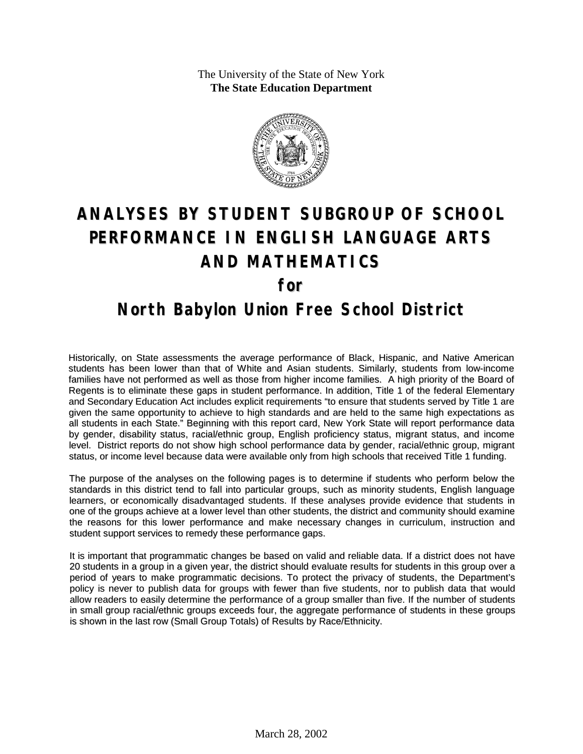The University of the State of New York **The State Education Department**



# **ANALYSES BY STUDENT SUBGROUP OF SCHOOL PERFORMANCE IN ENGLISH LANGUAGE ARTS AND MATHEMATICS for**

### **North Babylon Union Free School District**

Historically, on State assessments the average performance of Black, Hispanic, and Native American students has been lower than that of White and Asian students. Similarly, students from low-income families have not performed as well as those from higher income families. A high priority of the Board of Regents is to eliminate these gaps in student performance. In addition, Title 1 of the federal Elementary and Secondary Education Act includes explicit requirements "to ensure that students served by Title 1 are given the same opportunity to achieve to high standards and are held to the same high expectations as all students in each State." Beginning with this report card, New York State will report performance data by gender, disability status, racial/ethnic group, English proficiency status, migrant status, and income level. District reports do not show high school performance data by gender, racial/ethnic group, migrant status, or income level because data were available only from high schools that received Title 1 funding.

The purpose of the analyses on the following pages is to determine if students who perform below the standards in this district tend to fall into particular groups, such as minority students, English language learners, or economically disadvantaged students. If these analyses provide evidence that students in one of the groups achieve at a lower level than other students, the district and community should examine the reasons for this lower performance and make necessary changes in curriculum, instruction and student support services to remedy these performance gaps.

It is important that programmatic changes be based on valid and reliable data. If a district does not have 20 students in a group in a given year, the district should evaluate results for students in this group over a period of years to make programmatic decisions. To protect the privacy of students, the Department's policy is never to publish data for groups with fewer than five students, nor to publish data that would allow readers to easily determine the performance of a group smaller than five. If the number of students in small group racial/ethnic groups exceeds four, the aggregate performance of students in these groups is shown in the last row (Small Group Totals) of Results by Race/Ethnicity.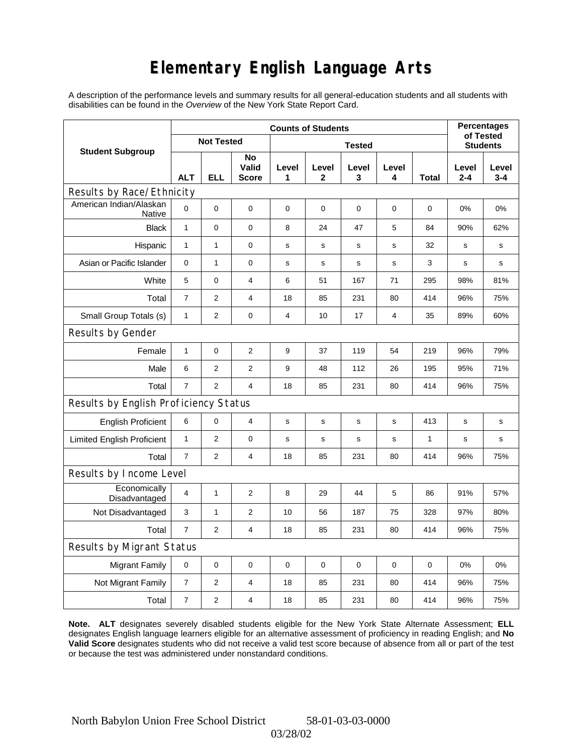# **Elementary English Language Arts**

A description of the performance levels and summary results for all general-education students and all students with disabilities can be found in the *Overview* of the New York State Report Card.

|                                          | <b>Counts of Students</b> |                   |                             |             |             |               |             |              |                  | <b>Percentages</b><br>of Tested |  |
|------------------------------------------|---------------------------|-------------------|-----------------------------|-------------|-------------|---------------|-------------|--------------|------------------|---------------------------------|--|
| <b>Student Subgroup</b>                  |                           | <b>Not Tested</b> |                             |             |             | <b>Tested</b> |             |              |                  | <b>Students</b>                 |  |
|                                          | <b>ALT</b>                | ELL               | No<br>Valid<br><b>Score</b> | Level<br>1  | Level<br>2  | Level<br>3    | Level<br>4  | Total        | Level<br>$2 - 4$ | Level<br>$3 - 4$                |  |
| Results by Race/Ethnicity                |                           |                   |                             |             |             |               |             |              |                  |                                 |  |
| American Indian/Alaskan<br><b>Native</b> | $\mathbf 0$               | 0                 | $\mathbf 0$                 | $\mathbf 0$ | $\mathbf 0$ | $\mathbf 0$   | 0           | $\mathbf 0$  | 0%               | 0%                              |  |
| <b>Black</b>                             | $\mathbf{1}$              | 0                 | $\mathbf 0$                 | 8           | 24          | 47            | 5           | 84           | 90%              | 62%                             |  |
| Hispanic                                 | $\mathbf{1}$              | $\mathbf{1}$      | $\pmb{0}$                   | s           | s           | s             | s           | 32           | s                | s                               |  |
| Asian or Pacific Islander                | 0                         | 1                 | 0                           | s           | s           | $\mathbf s$   | $\mathbf s$ | 3            | s                | s                               |  |
| White                                    | 5                         | 0                 | $\overline{4}$              | 6           | 51          | 167           | 71          | 295          | 98%              | 81%                             |  |
| Total                                    | $\overline{7}$            | $\overline{2}$    | $\overline{4}$              | 18          | 85          | 231           | 80          | 414          | 96%              | 75%                             |  |
| Small Group Totals (s)                   | $\mathbf{1}$              | 2                 | 0                           | 4           | 10          | 17            | 4           | 35           | 89%              | 60%                             |  |
| Results by Gender                        |                           |                   |                             |             |             |               |             |              |                  |                                 |  |
| Female                                   | $\mathbf{1}$              | 0                 | $\overline{2}$              | 9           | 37          | 119           | 54          | 219          | 96%              | 79%                             |  |
| Male                                     | 6                         | $\overline{2}$    | $\overline{2}$              | 9           | 48          | 112           | 26          | 195          | 95%              | 71%                             |  |
| Total                                    | $\overline{7}$            | $\overline{2}$    | $\overline{4}$              | 18          | 85          | 231           | 80          | 414          | 96%              | 75%                             |  |
| Results by English Proficiency Status    |                           |                   |                             |             |             |               |             |              |                  |                                 |  |
| <b>English Proficient</b>                | 6                         | 0                 | 4                           | s           | s           | s             | s           | 413          | $\mathbf s$      | $\mathbf s$                     |  |
| <b>Limited English Proficient</b>        | $\mathbf{1}$              | $\overline{2}$    | 0                           | s           | s           | $\mathsf{s}$  | s           | $\mathbf{1}$ | s                | s                               |  |
| Total                                    | $\overline{7}$            | $\overline{2}$    | $\overline{4}$              | 18          | 85          | 231           | 80          | 414          | 96%              | 75%                             |  |
| Results by Income Level                  |                           |                   |                             |             |             |               |             |              |                  |                                 |  |
| Economically<br>Disadvantaged            | $\overline{4}$            | 1                 | $\overline{2}$              | 8           | 29          | 44            | 5           | 86           | 91%              | 57%                             |  |
| Not Disadvantaged                        | 3                         | 1                 | $\overline{2}$              | 10          | 56          | 187           | 75          | 328          | 97%              | 80%                             |  |
| Total                                    | $\overline{7}$            | $\overline{2}$    | $\overline{4}$              | 18          | 85          | 231           | 80          | 414          | 96%              | 75%                             |  |
| Results by Migrant Status                |                           |                   |                             |             |             |               |             |              |                  |                                 |  |
| <b>Migrant Family</b>                    | 0                         | 0                 | $\mathbf 0$                 | 0           | 0           | $\mathbf 0$   | 0           | 0            | 0%               | 0%                              |  |
| Not Migrant Family                       | $\overline{7}$            | 2                 | 4                           | 18          | 85          | 231           | 80          | 414          | 96%              | 75%                             |  |
| Total                                    | $\boldsymbol{7}$          | 2                 | $\overline{4}$              | 18          | 85          | 231           | 80          | 414          | 96%              | 75%                             |  |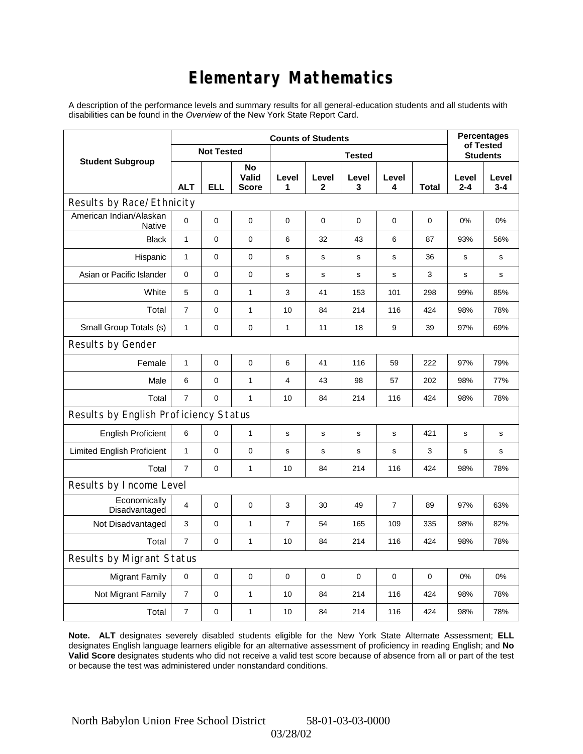# **Elementary Mathematics**

A description of the performance levels and summary results for all general-education students and all students with disabilities can be found in the *Overview* of the New York State Report Card.

|                                       | <b>Counts of Students</b> |                   |                             |                |                       |              |                 |              | <b>Percentages</b><br>of Tested |                  |
|---------------------------------------|---------------------------|-------------------|-----------------------------|----------------|-----------------------|--------------|-----------------|--------------|---------------------------------|------------------|
| <b>Student Subgroup</b>               |                           | <b>Not Tested</b> |                             |                |                       |              | <b>Students</b> |              |                                 |                  |
|                                       | <b>ALT</b>                | <b>ELL</b>        | No<br>Valid<br><b>Score</b> | Level<br>1     | Level<br>$\mathbf{2}$ | Level<br>3   | Level<br>4      | <b>Total</b> | Level<br>$2 - 4$                | Level<br>$3 - 4$ |
| Results by Race/Ethnicity             |                           |                   |                             |                |                       |              |                 |              |                                 |                  |
| American Indian/Alaskan<br>Native     | 0                         | $\mathbf 0$       | $\mathbf 0$                 | $\mathbf 0$    | $\mathbf 0$           | 0            | 0               | $\mathbf 0$  | 0%                              | 0%               |
| <b>Black</b>                          | $\mathbf{1}$              | 0                 | $\pmb{0}$                   | 6              | 32                    | 43           | 6               | 87           | 93%                             | 56%              |
| Hispanic                              | $\mathbf{1}$              | $\mathsf 0$       | $\pmb{0}$                   | $\mathbf s$    | $\mathbf s$           | s            | s               | 36           | s                               | s                |
| Asian or Pacific Islander             | 0                         | 0                 | $\pmb{0}$                   | s              | $\mathbf S$           | s            | $\mathbf s$     | 3            | s                               | s                |
| White                                 | 5                         | 0                 | $\mathbf{1}$                | 3              | 41                    | 153          | 101             | 298          | 99%                             | 85%              |
| Total                                 | $\overline{7}$            | $\mathsf 0$       | $\mathbf{1}$                | 10             | 84                    | 214          | 116             | 424          | 98%                             | 78%              |
| Small Group Totals (s)                | $\mathbf{1}$              | 0                 | $\mathbf 0$                 | $\mathbf{1}$   | 11                    | 18           | 9               | 39           | 97%                             | 69%              |
| Results by Gender                     |                           |                   |                             |                |                       |              |                 |              |                                 |                  |
| Female                                | $\mathbf{1}$              | $\mathsf 0$       | $\pmb{0}$                   | 6              | 41                    | 116          | 59              | 222          | 97%                             | 79%              |
| Male                                  | 6                         | 0                 | $\mathbf{1}$                | 4              | 43                    | 98           | 57              | 202          | 98%                             | 77%              |
| Total                                 | $\overline{7}$            | 0                 | $\mathbf{1}$                | 10             | 84                    | 214          | 116             | 424          | 98%                             | 78%              |
| Results by English Proficiency Status |                           |                   |                             |                |                       |              |                 |              |                                 |                  |
| <b>English Proficient</b>             | 6                         | 0                 | $\mathbf{1}$                | $\mathbf s$    | $\mathsf{s}$          | $\mathsf{s}$ | s               | 421          | $\mathbf s$                     | s                |
| <b>Limited English Proficient</b>     | 1                         | 0                 | 0                           | $\mathbf s$    | $\mathbf s$           | s            | $\mathbf s$     | 3            | s                               | s                |
| Total                                 | $\overline{7}$            | $\mathbf 0$       | $\mathbf{1}$                | 10             | 84                    | 214          | 116             | 424          | 98%                             | 78%              |
| Results by Income Level               |                           |                   |                             |                |                       |              |                 |              |                                 |                  |
| Economically<br>Disadvantaged         | $\overline{4}$            | 0                 | $\mathbf 0$                 | 3              | 30                    | 49           | $\overline{7}$  | 89           | 97%                             | 63%              |
| Not Disadvantaged                     | 3                         | 0                 | $\mathbf{1}$                | $\overline{7}$ | 54                    | 165          | 109             | 335          | 98%                             | 82%              |
| Total                                 | $\overline{7}$            | $\mathbf 0$       | $\mathbf{1}$                | 10             | 84                    | 214          | 116             | 424          | 98%                             | 78%              |
| Results by Migrant Status             |                           |                   |                             |                |                       |              |                 |              |                                 |                  |
| <b>Migrant Family</b>                 | $\mathbf 0$               | 0                 | $\mathbf 0$                 | 0              | $\mathbf 0$           | 0            | 0               | 0            | 0%                              | 0%               |
| Not Migrant Family                    | $\overline{7}$            | 0                 | $\mathbf{1}$                | 10             | 84                    | 214          | 116             | 424          | 98%                             | 78%              |
| Total                                 | $\overline{7}$            | $\mathsf 0$       | 1                           | 10             | 84                    | 214          | 116             | 424          | 98%                             | 78%              |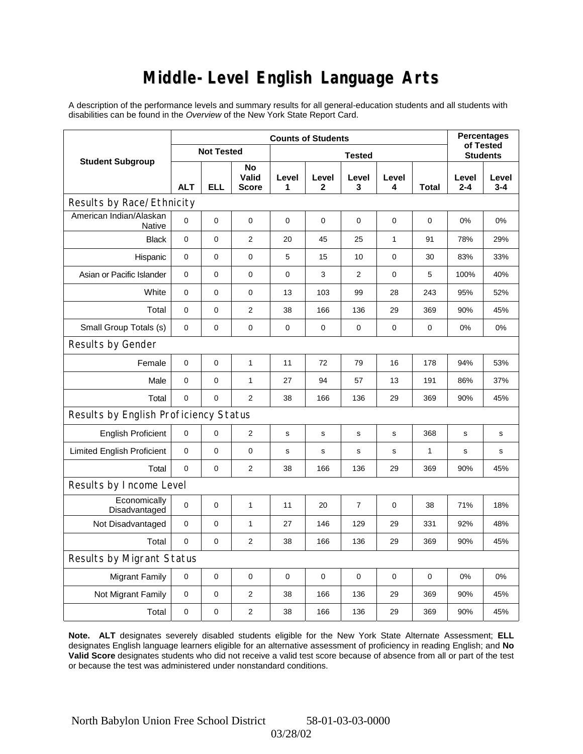# **Middle-Level English Language Arts**

A description of the performance levels and summary results for all general-education students and all students with disabilities can be found in the *Overview* of the New York State Report Card.

|                                          | <b>Counts of Students</b> |                   |                             |               |             |                |              |              | <b>Percentages</b><br>of Tested |                  |
|------------------------------------------|---------------------------|-------------------|-----------------------------|---------------|-------------|----------------|--------------|--------------|---------------------------------|------------------|
| <b>Student Subgroup</b>                  |                           | <b>Not Tested</b> |                             | <b>Tested</b> |             |                |              |              | <b>Students</b>                 |                  |
|                                          | <b>ALT</b>                | <b>ELL</b>        | No<br>Valid<br><b>Score</b> | Level<br>1    | Level<br>2  | Level<br>3     | Level<br>4   | <b>Total</b> | Level<br>$2 - 4$                | Level<br>$3 - 4$ |
| Results by Race/Ethnicity                |                           |                   |                             |               |             |                |              |              |                                 |                  |
| American Indian/Alaskan<br><b>Native</b> | 0                         | $\mathbf 0$       | $\mathbf 0$                 | 0             | $\mathbf 0$ | 0              | 0            | 0            | 0%                              | 0%               |
| <b>Black</b>                             | 0                         | 0                 | $\overline{2}$              | 20            | 45          | 25             | $\mathbf{1}$ | 91           | 78%                             | 29%              |
| Hispanic                                 | 0                         | 0                 | $\mathbf 0$                 | 5             | 15          | 10             | $\mathbf 0$  | 30           | 83%                             | 33%              |
| Asian or Pacific Islander                | 0                         | 0                 | $\mathbf 0$                 | $\pmb{0}$     | 3           | $\overline{2}$ | 0            | 5            | 100%                            | 40%              |
| White                                    | 0                         | 0                 | 0                           | 13            | 103         | 99             | 28           | 243          | 95%                             | 52%              |
| Total                                    | 0                         | 0                 | $\mathbf{2}$                | 38            | 166         | 136            | 29           | 369          | 90%                             | 45%              |
| Small Group Totals (s)                   | 0                         | 0                 | $\mathbf 0$                 | $\pmb{0}$     | $\mathbf 0$ | 0              | 0            | 0            | 0%                              | 0%               |
| Results by Gender                        |                           |                   |                             |               |             |                |              |              |                                 |                  |
| Female                                   | 0                         | $\mathsf 0$       | $\mathbf{1}$                | 11            | 72          | 79             | 16           | 178          | 94%                             | 53%              |
| Male                                     | 0                         | 0                 | $\mathbf{1}$                | 27            | 94          | 57             | 13           | 191          | 86%                             | 37%              |
| Total                                    | 0                         | 0                 | 2                           | 38            | 166         | 136            | 29           | 369          | 90%                             | 45%              |
| Results by English Proficiency Status    |                           |                   |                             |               |             |                |              |              |                                 |                  |
| <b>English Proficient</b>                | 0                         | 0                 | $\mathbf{2}$                | $\mathbf s$   | S           | s              | s            | 368          | s                               | $\mathbf s$      |
| <b>Limited English Proficient</b>        | 0                         | 0                 | $\mathbf 0$                 | s             | s           | s              | s            | $\mathbf{1}$ | s                               | s                |
| Total                                    | 0                         | 0                 | $\overline{2}$              | 38            | 166         | 136            | 29           | 369          | 90%                             | 45%              |
| Results by Income Level                  |                           |                   |                             |               |             |                |              |              |                                 |                  |
| Economically<br>Disadvantaged            | 0                         | $\mathsf 0$       | $\mathbf{1}$                | 11            | 20          | 7              | 0            | 38           | 71%                             | 18%              |
| Not Disadvantaged                        | 0                         | 0                 | $\mathbf{1}$                | 27            | 146         | 129            | 29           | 331          | 92%                             | 48%              |
| Total                                    | $\mathbf 0$               | $\mathbf 0$       | 2                           | 38            | 166         | 136            | 29           | 369          | 90%                             | 45%              |
| Results by Migrant Status                |                           |                   |                             |               |             |                |              |              |                                 |                  |
| <b>Migrant Family</b>                    | $\mathbf 0$               | 0                 | $\pmb{0}$                   | 0             | $\mathbf 0$ | 0              | 0            | $\mathbf 0$  | 0%                              | 0%               |
| Not Migrant Family                       | 0                         | 0                 | $\overline{2}$              | 38            | 166         | 136            | 29           | 369          | 90%                             | 45%              |
| Total                                    | 0                         | 0                 | $\mathbf{2}$                | 38            | 166         | 136            | 29           | 369          | 90%                             | 45%              |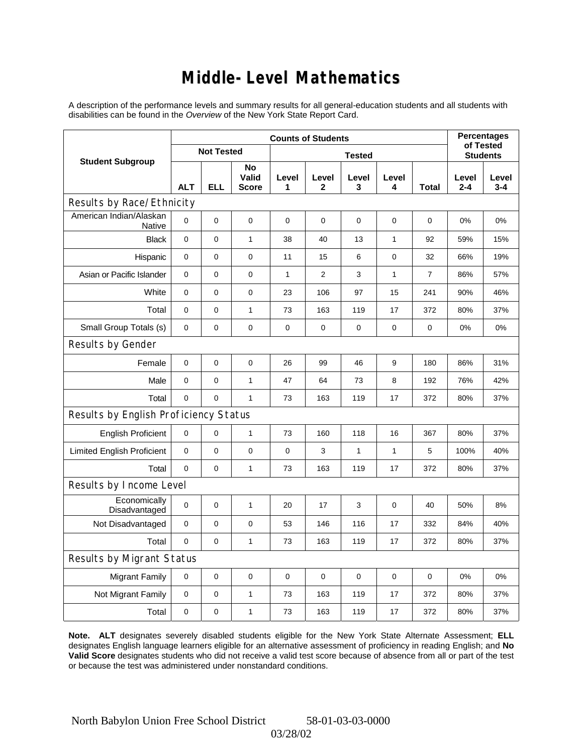### **Middle-Level Mathematics**

A description of the performance levels and summary results for all general-education students and all students with disabilities can be found in the *Overview* of the New York State Report Card.

|                                       | <b>Counts of Students</b> |                   |                      |              |                |              |                 |                | <b>Percentages</b><br>of Tested |                  |
|---------------------------------------|---------------------------|-------------------|----------------------|--------------|----------------|--------------|-----------------|----------------|---------------------------------|------------------|
| <b>Student Subgroup</b>               |                           | <b>Not Tested</b> |                      |              |                |              | <b>Students</b> |                |                                 |                  |
|                                       | <b>ALT</b>                | <b>ELL</b>        | No<br>Valid<br>Score | Level<br>1   | Level<br>2     | Level<br>3   | Level<br>4      | <b>Total</b>   | Level<br>$2 - 4$                | Level<br>$3 - 4$ |
| Results by Race/Ethnicity             |                           |                   |                      |              |                |              |                 |                |                                 |                  |
| American Indian/Alaskan<br>Native     | 0                         | $\mathbf 0$       | $\mathbf 0$          | 0            | $\mathbf 0$    | 0            | 0               | 0              | 0%                              | 0%               |
| <b>Black</b>                          | 0                         | 0                 | $\mathbf{1}$         | 38           | 40             | 13           | $\mathbf{1}$    | 92             | 59%                             | 15%              |
| Hispanic                              | 0                         | 0                 | $\mathbf 0$          | 11           | 15             | 6            | $\mathbf 0$     | 32             | 66%                             | 19%              |
| Asian or Pacific Islander             | 0                         | 0                 | $\mathbf 0$          | $\mathbf{1}$ | $\overline{2}$ | 3            | $\mathbf{1}$    | $\overline{7}$ | 86%                             | 57%              |
| White                                 | 0                         | 0                 | 0                    | 23           | 106            | 97           | 15              | 241            | 90%                             | 46%              |
| Total                                 | 0                         | 0                 | $\mathbf{1}$         | 73           | 163            | 119          | 17              | 372            | 80%                             | 37%              |
| Small Group Totals (s)                | 0                         | 0                 | $\mathbf 0$          | $\pmb{0}$    | $\mathbf 0$    | 0            | 0               | 0              | 0%                              | 0%               |
| Results by Gender                     |                           |                   |                      |              |                |              |                 |                |                                 |                  |
| Female                                | 0                         | $\mathsf 0$       | $\pmb{0}$            | 26           | 99             | 46           | 9               | 180            | 86%                             | 31%              |
| Male                                  | 0                         | 0                 | $\mathbf{1}$         | 47           | 64             | 73           | 8               | 192            | 76%                             | 42%              |
| Total                                 | 0                         | 0                 | $\mathbf{1}$         | 73           | 163            | 119          | 17              | 372            | 80%                             | 37%              |
| Results by English Proficiency Status |                           |                   |                      |              |                |              |                 |                |                                 |                  |
| <b>English Proficient</b>             | 0                         | 0                 | $\mathbf{1}$         | 73           | 160            | 118          | 16              | 367            | 80%                             | 37%              |
| <b>Limited English Proficient</b>     | 0                         | 0                 | $\mathbf 0$          | $\pmb{0}$    | 3              | $\mathbf{1}$ | 1               | 5              | 100%                            | 40%              |
| Total                                 | $\mathbf 0$               | 0                 | $\mathbf{1}$         | 73           | 163            | 119          | 17              | 372            | 80%                             | 37%              |
| Results by Income Level               |                           |                   |                      |              |                |              |                 |                |                                 |                  |
| Economically<br>Disadvantaged         | 0                         | $\mathsf 0$       | $\mathbf{1}$         | 20           | 17             | 3            | $\mathbf 0$     | 40             | 50%                             | 8%               |
| Not Disadvantaged                     | $\mathbf 0$               | 0                 | $\mathbf 0$          | 53           | 146            | 116          | 17              | 332            | 84%                             | 40%              |
| Total                                 | $\mathbf 0$               | $\mathbf 0$       | $\mathbf{1}$         | 73           | 163            | 119          | 17              | 372            | 80%                             | 37%              |
| Results by Migrant Status             |                           |                   |                      |              |                |              |                 |                |                                 |                  |
| <b>Migrant Family</b>                 | $\mathbf 0$               | 0                 | $\pmb{0}$            | $\mathbf 0$  | $\mathbf 0$    | 0            | 0               | $\mathbf 0$    | 0%                              | 0%               |
| Not Migrant Family                    | 0                         | 0                 | $\mathbf{1}$         | 73           | 163            | 119          | 17              | 372            | 80%                             | 37%              |
| Total                                 | 0                         | 0                 | $\mathbf{1}$         | 73           | 163            | 119          | 17              | 372            | 80%                             | 37%              |